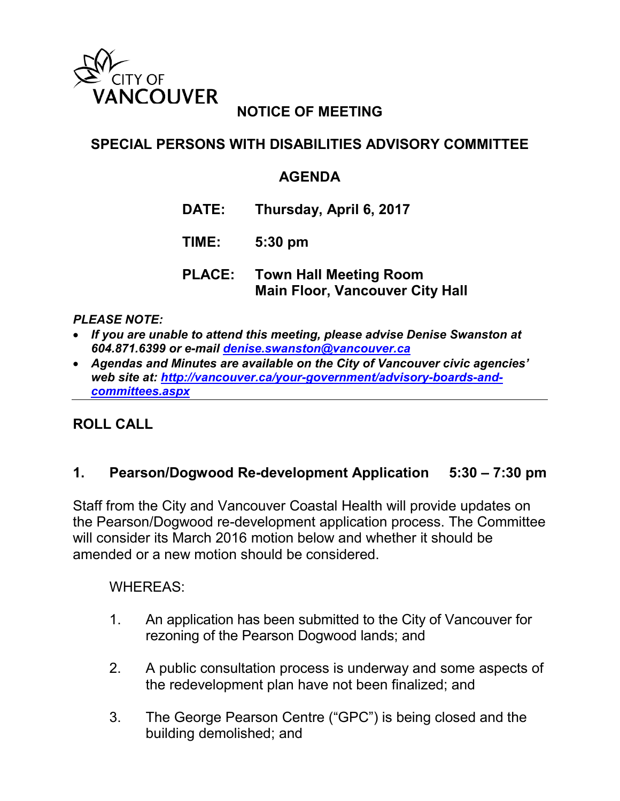

# **NOTICE OF MEETING**

## **SPECIAL PERSONS WITH DISABILITIES ADVISORY COMMITTEE**

## **AGENDA**

- **DATE: Thursday, April 6, 2017**
- **TIME: 5:30 pm**
- **PLACE: Town Hall Meeting Room Main Floor, Vancouver City Hall**

#### *PLEASE NOTE:*

- *If you are unable to attend this meeting, please advise Denise Swanston at 604.871.6399 or e-mail [denise.swanston@vancouver.ca](mailto:denise.swanston@vancouver.ca)*
- *Agendas and Minutes are available on the City of Vancouver civic agencies' web site at: [http://vancouver.ca/your-government/advisory-boards-and](http://vancouver.ca/your-government/advisory-boards-and-committees.aspx)[committees.aspx](http://vancouver.ca/your-government/advisory-boards-and-committees.aspx)*

### **ROLL CALL**

### **1. Pearson/Dogwood Re-development Application 5:30 – 7:30 pm**

Staff from the City and Vancouver Coastal Health will provide updates on the Pearson/Dogwood re-development application process. The Committee will consider its March 2016 motion below and whether it should be amended or a new motion should be considered.

### WHEREAS:

- 1. An application has been submitted to the City of Vancouver for rezoning of the Pearson Dogwood lands; and
- 2. A public consultation process is underway and some aspects of the redevelopment plan have not been finalized; and
- 3. The George Pearson Centre ("GPC") is being closed and the building demolished; and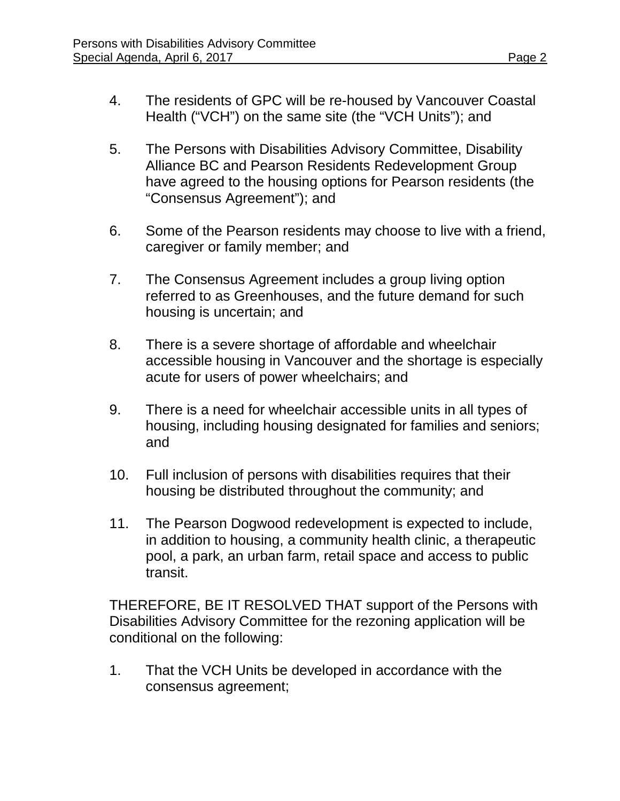- 4. The residents of GPC will be re-housed by Vancouver Coastal Health ("VCH") on the same site (the "VCH Units"); and
- 5. The Persons with Disabilities Advisory Committee, Disability Alliance BC and Pearson Residents Redevelopment Group have agreed to the housing options for Pearson residents (the "Consensus Agreement"); and
- 6. Some of the Pearson residents may choose to live with a friend, caregiver or family member; and
- 7. The Consensus Agreement includes a group living option referred to as Greenhouses, and the future demand for such housing is uncertain; and
- 8. There is a severe shortage of affordable and wheelchair accessible housing in Vancouver and the shortage is especially acute for users of power wheelchairs; and
- 9. There is a need for wheelchair accessible units in all types of housing, including housing designated for families and seniors; and
- 10. Full inclusion of persons with disabilities requires that their housing be distributed throughout the community; and
- 11. The Pearson Dogwood redevelopment is expected to include, in addition to housing, a community health clinic, a therapeutic pool, a park, an urban farm, retail space and access to public transit.

THEREFORE, BE IT RESOLVED THAT support of the Persons with Disabilities Advisory Committee for the rezoning application will be conditional on the following:

1. That the VCH Units be developed in accordance with the consensus agreement;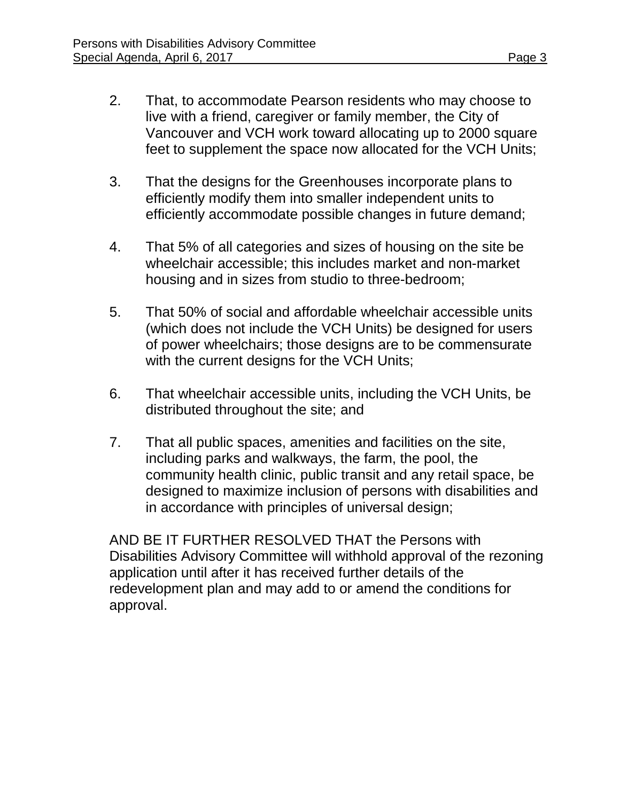- 2. That, to accommodate Pearson residents who may choose to live with a friend, caregiver or family member, the City of Vancouver and VCH work toward allocating up to 2000 square feet to supplement the space now allocated for the VCH Units;
- 3. That the designs for the Greenhouses incorporate plans to efficiently modify them into smaller independent units to efficiently accommodate possible changes in future demand;
- 4. That 5% of all categories and sizes of housing on the site be wheelchair accessible; this includes market and non-market housing and in sizes from studio to three-bedroom;
- 5. That 50% of social and affordable wheelchair accessible units (which does not include the VCH Units) be designed for users of power wheelchairs; those designs are to be commensurate with the current designs for the VCH Units;
- 6. That wheelchair accessible units, including the VCH Units, be distributed throughout the site; and
- 7. That all public spaces, amenities and facilities on the site, including parks and walkways, the farm, the pool, the community health clinic, public transit and any retail space, be designed to maximize inclusion of persons with disabilities and in accordance with principles of universal design;

AND BE IT FURTHER RESOLVED THAT the Persons with Disabilities Advisory Committee will withhold approval of the rezoning application until after it has received further details of the redevelopment plan and may add to or amend the conditions for approval.